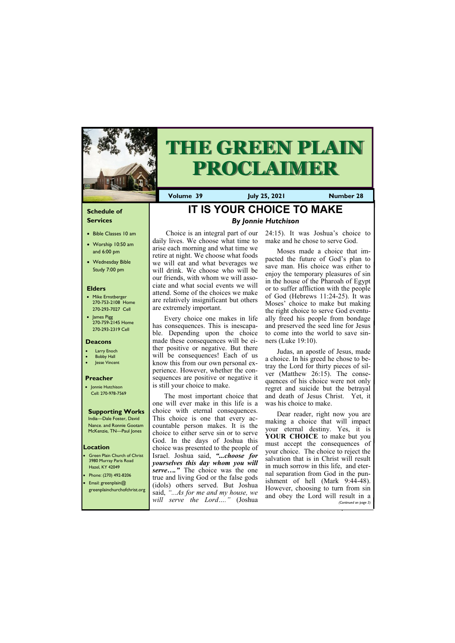## **Schedule of Services**

- Bible Classes 10 am
- Worship 10:50 am and 6:00 pm
- Wednesday Bible Study 7:00 pm

### **Elders**

- Mike Ernstberger 270-753-2108 Home 270-293-7027 Cell
- James Pigg 270-759-2145 Home 270-293-2319 Cell

**Green Plain Church of Christ** 3980 Murray Paris Road Hazel, KY 42049 • Phone: (270) 492-8206 • Email: greenplain@

### **Location**



# **THE GREEN PLAIN PROCLAIMER**

**Volume 39 July 25, 2021 Number 28**

### **Deacons**

- Larry Enoch
- **Bobby Hall**
- Jesse Vincent

#### **Preacher**

• Jonnie Hutchison Cell: 270-978-7569

# **Supporting Works**

India—Dale Foster, David Nance. and Ronnie Gootam McKenzie, TN—Paul Jones

# **IT IS YOUR CHOICE TO MAKE** *By Jonnie Hutchison*

Choice is an integral part of our daily lives. We choose what time to arise each morning and what time we retire at night. We choose what foods we will eat and what beverages we will drink. We choose who will be our friends, with whom we will associate and what social events we will attend. Some of the choices we make are relatively insignificant but others are extremely important.

Every choice one makes in life has consequences. This is inescapable. Depending upon the choice made these consequences will be either positive or negative. But there will be consequences! Each of us know this from our own personal experience. However, whether the consequences are positive or negative it is still your choice to make.

The most important choice that one will ever make in this life is a choice with eternal consequences. This choice is one that every accountable person makes. It is the choice to either serve sin or to serve God. In the days of Joshua this choice was presented to the people of Israel. Joshua said, *"...choose for yourselves this day whom you will serve…."* The choice was the one true and living God or the false gods (idols) others served. But Joshua

| will serve the Lord" (Joshua | However, choosing to turn from sin<br>greenplainchurchofchrist.org said, "As for me and my house, we and obey the Lord will result in $\ell$<br>(Continued on page 3) |
|------------------------------|-----------------------------------------------------------------------------------------------------------------------------------------------------------------------|
|                              |                                                                                                                                                                       |

24:15). It was Joshua's choice to make and he chose to serve God.

Moses made a choice that impacted the future of God's plan to save man. His choice was either to enjoy the temporary pleasures of sin in the house of the Pharoah of Egypt or to suffer affliction with the people of God (Hebrews 11:24-25). It was Moses' choice to make but making the right choice to serve God eventually freed his people from bondage and preserved the seed line for Jesus to come into the world to save sinners (Luke 19:10).

Judas, an apostle of Jesus, made a choice. In his greed he chose to betray the Lord for thirty pieces of silver (Matthew 26:15). The consequences of his choice were not only regret and suicide but the betrayal and death of Jesus Christ. Yet, it was his choice to make.

Dear reader, right now you are making a choice that will impact your eternal destiny. Yes, it is **YOUR CHOICE** to make but you must accept the consequences of your choice. The choice to reject the salvation that is in Christ will result in much sorrow in this life, and eternal separation from God in the punishment of hell (Mark 9:44-48).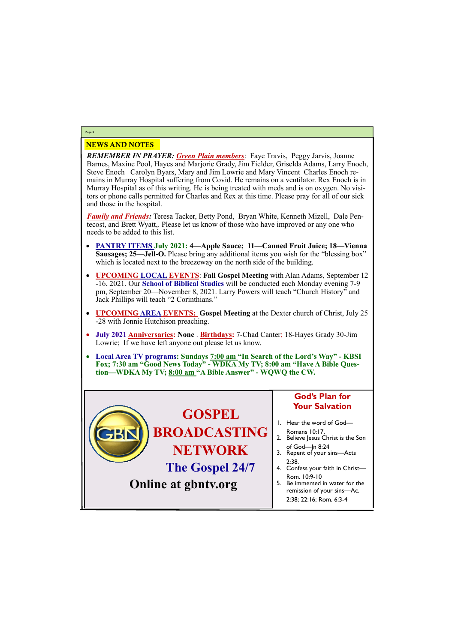# *REMEMBER IN PRAYER: Green Plain members*: Faye Travis, Peggy Jarvis, Joanne Barnes, Maxine Pool, Hayes and Marjorie Grady, Jim Fielder, Griselda Adams, Larry Enoch, Steve Enoch Carolyn Byars, Mary and Jim Lowrie and Mary Vincent Charles Enoch remains in Murray Hospital suffering from Covid. He remains on a ventilator. Rex Enoch is in Murray Hospital as of this writing. He is being treated with meds and is on oxygen. No visitors or phone calls permitted for Charles and Rex at this time. Please pray for all of our sick and those in the hospital.

*Family and Friends:* Teresa Tacker, Betty Pond, Bryan White, Kenneth Mizell, Dale Pentecost, and Brett Wyatt,. Please let us know of those who have improved or any one who needs to be added to this list.

# NEWS AND NOTES **Page 2**

- **PANTRY ITEMS July 2021: 4—Apple Sauce; 11—Canned Fruit Juice; 18—Vienna Sausages; 25—Jell-O.** Please bring any additional items you wish for the "blessing box" which is located next to the breezeway on the north side of the building.
- **UPCOMING LOCAL EVENTS**: **Fall Gospel Meeting** with Alan Adams, September 12 -16, 2021. Our **School of Biblical Studies** will be conducted each Monday evening 7-9 pm, September 20—November 8, 2021. Larry Powers will teach "Church History" and Jack Phillips will teach "2 Corinthians."
- **UPCOMING AREA EVENTS: Gospel Meeting** at the Dexter church of Christ, July 25 -28 with Jonnie Hutchison preaching.
- **July 2021 Anniversaries: None** . **Birthdays:** 7-Chad Canter; 18-Hayes Grady 30-Jim Lowrie; If we have left anyone out please let us know.
- **Local Area TV programs: Sundays 7:00 am "In Search of the Lord's Way" - KBSI Fox; 7:30 am "Good News Today" - WDKA My TV; 8:00 am "Have A Bible Question—WDKA My TV; 8:00 am "A Bible Answer" - WQWQ the CW.**

# **Online at gbntv.org**

**GOSPEL BROADCASTING NETWORK The Gospel 24/7 God's Plan for Your Salvation** 1. Hear the word of God— Romans 10:17. 2. Believe Jesus Christ is the Son of God—Jn 8:24 3. Repent of your sins—Acts 2:38. 4. Confess your faith in Christ— Rom. 10:9-10 5. Be immersed in water for the

> remission of your sins—Ac. 2:38; 22:16; Rom. 6:3-4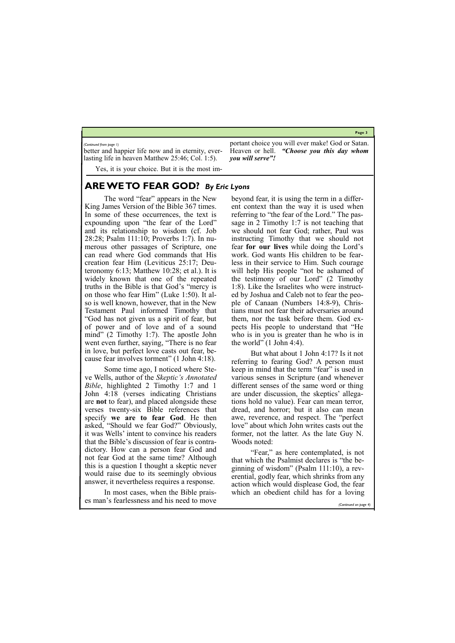#### **Page 3**

better and happier life now and in eternity, everlasting life in heaven Matthew 25:46; Col. 1:5).

Yes, it is your choice. But it is the most im-

portant choice you will ever make! God or Satan. Heaven or hell. *"Choose you this day whom you will serve"!*

*(Continued from page 1)*

# **ARE WE TO FEAR GOD?** *By Eric Lyons*

The word "fear" appears in the New King James Version of the Bible 367 times. In some of these occurrences, the text is expounding upon "the fear of the Lord" and its relationship to wisdom (cf. Job 28:28; Psalm 111:10; Proverbs 1:7). In numerous other passages of Scripture, one can read where God commands that His creation fear Him (Leviticus 25:17; Deuteronomy 6:13; Matthew 10:28; et al.). It is widely known that one of the repeated truths in the Bible is that God's "mercy is on those who fear Him" (Luke 1:50). It also is well known, however, that in the New Testament Paul informed Timothy that "God has not given us a spirit of fear, but of power and of love and of a sound mind" (2 Timothy 1:7). The apostle John went even further, saying, "There is no fear in love, but perfect love casts out fear, because fear involves torment" (1 John 4:18).

beyond fear, it is using the term in a different context than the way it is used when referring to "the fear of the Lord." The passage in 2 Timothy 1:7 is not teaching that we should not fear God; rather, Paul was instructing Timothy that we should not fear **for our lives** while doing the Lord's work. God wants His children to be fearless in their service to Him. Such courage will help His people "not be ashamed of the testimony of our Lord" (2 Timothy 1:8). Like the Israelites who were instructed by Joshua and Caleb not to fear the people of Canaan (Numbers 14:8-9), Christians must not fear their adversaries around them, nor the task before them. God expects His people to understand that "He who is in you is greater than he who is in the world" (1 John 4:4).

Some time ago, I noticed where Steve Wells, author of the *Skeptic's Annotated Bible*, highlighted 2 Timothy 1:7 and 1 John 4:18 (verses indicating Christians are **not** to fear), and placed alongside these verses twenty-six Bible references that specify **we are to fear God**. He then asked, "Should we fear God?" Obviously, it was Wells' intent to convince his readers that the Bible's discussion of fear is contradictory. How can a person fear God and not fear God at the same time? Although this is a question I thought a skeptic never would raise due to its seemingly obvious answer, it nevertheless requires a response.

In most cases, when the Bible praises man's fearlessness and his need to move

But what about 1 John 4:17? Is it not referring to fearing God? A person must keep in mind that the term "fear" is used in various senses in Scripture (and whenever different senses of the same word or thing are under discussion, the skeptics' allegations hold no value). Fear can mean terror, dread, and horror; but it also can mean awe, reverence, and respect. The "perfect love" about which John writes casts out the former, not the latter. As the late Guy N. Woods noted:

"Fear," as here contemplated, is not that which the Psalmist declares is "the beginning of wisdom" (Psalm 111:10), a reverential, godly fear, which shrinks from any action which would displease God, the fear which an obedient child has for a loving

*(Continued on page 4)*